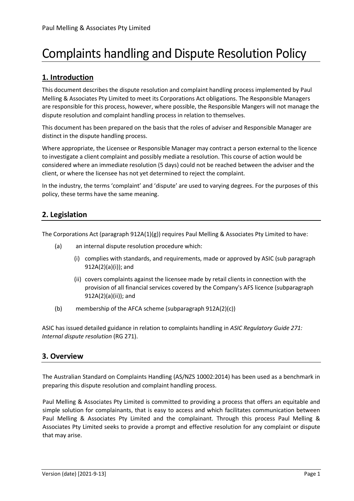# Complaints handling and Dispute Resolution Policy

# **1. Introduction**

This document describes the dispute resolution and complaint handling process implemented by Paul Melling & Associates Pty Limited to meet its Corporations Act obligations. The Responsible Managers are responsible for this process, however, where possible, the Responsible Mangers will not manage the dispute resolution and complaint handling process in relation to themselves.

This document has been prepared on the basis that the roles of adviser and Responsible Manager are distinct in the dispute handling process.

Where appropriate, the Licensee or Responsible Manager may contract a person external to the licence to investigate a client complaint and possibly mediate a resolution. This course of action would be considered where an immediate resolution (5 days) could not be reached between the adviser and the client, or where the licensee has not yet determined to reject the complaint.

In the industry, the terms 'complaint' and 'dispute' are used to varying degrees. For the purposes of this policy, these terms have the same meaning.

# **2. Legislation**

The Corporations Act (paragraph  $912A(1)(g)$ ) requires Paul Melling & Associates Pty Limited to have:

- (a) an internal dispute resolution procedure which:
	- (i) complies with standards, and requirements, made or approved by ASIC (sub paragraph 912A(2)(a)(i)); and
	- (ii) covers complaints against the licensee made by retail clients in connection with the provision of all financial services covered by the Company's AFS licence (subparagraph 912A(2)(a)(ii)); and
- (b) [membership](http://www5.austlii.edu.au/au/legis/cth/consol_act/ca2001172/s9.html#member) of the [AFCA scheme](http://www5.austlii.edu.au/au/legis/cth/consol_act/ca2001172/s761a.html#afca_scheme) (subparagraph 912A(2)(c))

ASIC has issued detailed guidance in relation to complaints handling in *ASIC Regulatory Guide 271: Internal dispute resolution* (RG 271).

# **3. Overview**

The Australian Standard on Complaints Handling (AS/NZS 10002:2014) has been used as a benchmark in preparing this dispute resolution and complaint handling process.

Paul Melling & Associates Pty Limited is committed to providing a process that offers an equitable and simple solution for complainants, that is easy to access and which facilitates communication between Paul Melling & Associates Pty Limited and the complainant. Through this process Paul Melling & Associates Pty Limited seeks to provide a prompt and effective resolution for any complaint or dispute that may arise.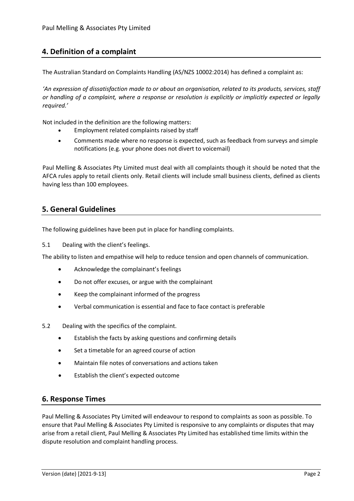# **4. Definition of a complaint**

The Australian Standard on Complaints Handling (AS/NZS 10002:2014) has defined a complaint as:

*'An expression of dissatisfaction made to or about an organisation, related to its products, services, staff or handling of a complaint, where a response or resolution is explicitly or implicitly expected or legally required.'*

Not included in the definition are the following matters:

- Employment related complaints raised by staff
- Comments made where no response is expected, such as feedback from surveys and simple notifications (e.g. your phone does not divert to voicemail)

Paul Melling & Associates Pty Limited must deal with all complaints though it should be noted that the AFCA rules apply to retail clients only. Retail clients will include small business clients, defined as clients having less than 100 employees.

## **5. General Guidelines**

The following guidelines have been put in place for handling complaints.

5.1 Dealing with the client's feelings.

The ability to listen and empathise will help to reduce tension and open channels of communication.

- Acknowledge the complainant's feelings
- Do not offer excuses, or argue with the complainant
- Keep the complainant informed of the progress
- Verbal communication is essential and face to face contact is preferable
- 5.2 Dealing with the specifics of the complaint.
	- Establish the facts by asking questions and confirming details
	- Set a timetable for an agreed course of action
	- Maintain file notes of conversations and actions taken
	- Establish the client's expected outcome

## **6. Response Times**

Paul Melling & Associates Pty Limited will endeavour to respond to complaints as soon as possible. To ensure that Paul Melling & Associates Pty Limited is responsive to any complaints or disputes that may arise from a retail client, Paul Melling & Associates Pty Limited has established time limits within the dispute resolution and complaint handling process.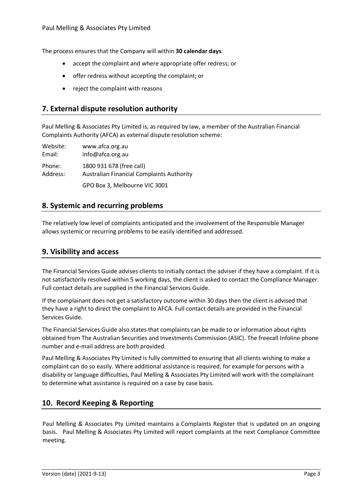The process ensures that the Company will within **30 calendar days**:

- accept the complaint and where appropriate offer redress; or
- offer redress without accepting the complaint; or
- reject the complaint with reasons

## **7. External dispute resolution authority**

Paul Melling & Associates Pty Limited is, as required by law, a member of the Australian Financial Complaints Authority (AFCA) as external dispute resolution scheme:

| Website: | www.afca.org.au                                  |
|----------|--------------------------------------------------|
| Email:   | info@afca.org.au                                 |
| Phone:   | 1800 931 678 (free call)                         |
| Address: | <b>Australian Financial Complaints Authority</b> |
|          | GPO Box 3, Melbourne VIC 3001                    |

## **8. Systemic and recurring problems**

The relatively low level of complaints anticipated and the involvement of the Responsible Manager allows systemic or recurring problems to be easily identified and addressed.

## **9. Visibility and access**

The Financial Services Guide advises clients to initially contact the adviser if they have a complaint. If it is not satisfactorily resolved within 5 working days, the client is asked to contact the Compliance Manager. Full contact details are supplied in the Financial Services Guide.

If the complainant does not get a satisfactory outcome within 30 days then the client is advised that they have a right to direct the complaint to AFCA. Full contact details are provided in the Financial Services Guide.

The Financial Services Guide also states that complaints can be made to or information about rights obtained from The Australian Securities and Investments Commission (ASIC). The freecall Infoline phone number and e-mail address are both provided.

Paul Melling & Associates Pty Limited is fully committed to ensuring that all clients wishing to make a complaint can do so easily. Where additional assistance is required, for example for persons with a disability or language difficulties, Paul Melling & Associates Pty Limited will work with the complainant to determine what assistance is required on a case by case basis.

## **10. Record Keeping & Reporting**

Paul Melling & Associates Pty Limited maintains a Complaints Register that is updated on an ongoing basis. Paul Melling & Associates Pty Limited will report complaints at the next Compliance Committee meeting.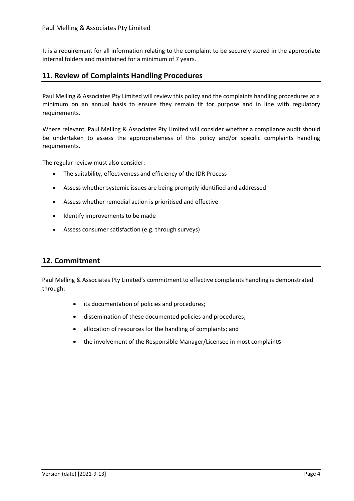It is a requirement for all information relating to the complaint to be securely stored in the appropriate internal folders and maintained for a minimum of 7 years.

## **11. Review of Complaints Handling Procedures**

Paul Melling & Associates Pty Limited will review this policy and the complaints handling procedures at a minimum on an annual basis to ensure they remain fit for purpose and in line with regulatory requirements.

Where relevant, Paul Melling & Associates Pty Limited will consider whether a compliance audit should be undertaken to assess the appropriateness of this policy and/or specific complaints handling requirements.

The regular review must also consider:

- The suitability, effectiveness and efficiency of the IDR Process
- Assess whether systemic issues are being promptly identified and addressed
- Assess whether remedial action is prioritised and effective
- Identify improvements to be made
- Assess consumer satisfaction (e.g. through surveys)

## **12. Commitment**

Paul Melling & Associates Pty Limited's commitment to effective complaints handling is demonstrated through:

- its documentation of policies and procedures;
- dissemination of these documented policies and procedures;
- allocation of resources for the handling of complaints; and
- the involvement of the Responsible Manager/Licensee in most complaints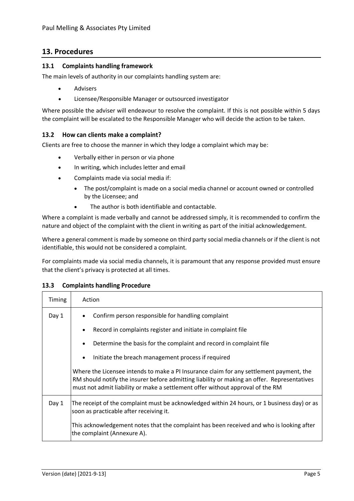## **13. Procedures**

#### **13.1 Complaints handling framework**

The main levels of authority in our complaints handling system are:

- **Advisers**
- Licensee/Responsible Manager or outsourced investigator

Where possible the adviser will endeavour to resolve the complaint. If this is not possible within 5 days the complaint will be escalated to the Responsible Manager who will decide the action to be taken.

#### **13.2 How can clients make a complaint?**

Clients are free to choose the manner in which they lodge a complaint which may be:

- Verbally either in person or via phone
- In writing, which includes letter and email
- Complaints made via social media if:
	- The post/complaint is made on a social media channel or account owned or controlled by the Licensee; and
	- The author is both identifiable and contactable.

Where a complaint is made verbally and cannot be addressed simply, it is recommended to confirm the nature and object of the complaint with the client in writing as part of the initial acknowledgement.

Where a general comment is made by someone on third party social media channels or if the client is not identifiable, this would not be considered a complaint.

For complaints made via social media channels, it is paramount that any response provided must ensure that the client's privacy is protected at all times.

#### **13.3 Complaints handling Procedure**

| Timing | Action                                                                                                                                                                                                                                                                   |  |
|--------|--------------------------------------------------------------------------------------------------------------------------------------------------------------------------------------------------------------------------------------------------------------------------|--|
| Day 1  | Confirm person responsible for handling complaint                                                                                                                                                                                                                        |  |
|        | Record in complaints register and initiate in complaint file                                                                                                                                                                                                             |  |
|        | Determine the basis for the complaint and record in complaint file<br>٠                                                                                                                                                                                                  |  |
|        | Initiate the breach management process if required                                                                                                                                                                                                                       |  |
|        | Where the Licensee intends to make a PI Insurance claim for any settlement payment, the<br>RM should notify the insurer before admitting liability or making an offer. Representatives<br>must not admit liability or make a settlement offer without approval of the RM |  |
| Day 1  | The receipt of the complaint must be acknowledged within 24 hours, or 1 business day) or as<br>soon as practicable after receiving it.                                                                                                                                   |  |
|        | This acknowledgement notes that the complaint has been received and who is looking after<br>the complaint (Annexure A).                                                                                                                                                  |  |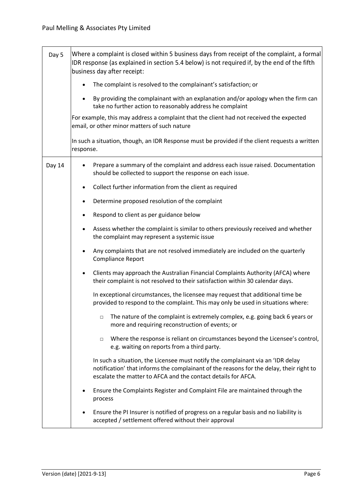| Day 5  | Where a complaint is closed within 5 business days from receipt of the complaint, a formal<br>IDR response (as explained in section 5.4 below) is not required if, by the end of the fifth<br>business day after receipt:                   |  |
|--------|---------------------------------------------------------------------------------------------------------------------------------------------------------------------------------------------------------------------------------------------|--|
|        | The complaint is resolved to the complainant's satisfaction; or                                                                                                                                                                             |  |
|        | By providing the complainant with an explanation and/or apology when the firm can<br>take no further action to reasonably address he complaint                                                                                              |  |
|        | For example, this may address a complaint that the client had not received the expected<br>email, or other minor matters of such nature                                                                                                     |  |
|        | In such a situation, though, an IDR Response must be provided if the client requests a written<br>response.                                                                                                                                 |  |
| Day 14 | Prepare a summary of the complaint and address each issue raised. Documentation<br>should be collected to support the response on each issue.                                                                                               |  |
|        | Collect further information from the client as required                                                                                                                                                                                     |  |
|        | Determine proposed resolution of the complaint<br>$\bullet$                                                                                                                                                                                 |  |
|        | Respond to client as per guidance below<br>$\bullet$                                                                                                                                                                                        |  |
|        | Assess whether the complaint is similar to others previously received and whether<br>$\bullet$<br>the complaint may represent a systemic issue                                                                                              |  |
|        | Any complaints that are not resolved immediately are included on the quarterly<br>$\bullet$<br>Compliance Report                                                                                                                            |  |
|        | Clients may approach the Australian Financial Complaints Authority (AFCA) where<br>their complaint is not resolved to their satisfaction within 30 calendar days.                                                                           |  |
|        | In exceptional circumstances, the licensee may request that additional time be<br>provided to respond to the complaint. This may only be used in situations where:                                                                          |  |
|        | The nature of the complaint is extremely complex, e.g. going back 6 years or<br>$\Box$<br>more and requiring reconstruction of events; or                                                                                                   |  |
|        | Where the response is reliant on circumstances beyond the Licensee's control,<br>$\Box$<br>e.g. waiting on reports from a third party.                                                                                                      |  |
|        | In such a situation, the Licensee must notify the complainant via an 'IDR delay<br>notification' that informs the complainant of the reasons for the delay, their right to<br>escalate the matter to AFCA and the contact details for AFCA. |  |
|        | Ensure the Complaints Register and Complaint File are maintained through the<br>process                                                                                                                                                     |  |
|        | Ensure the PI Insurer is notified of progress on a regular basis and no liability is<br>accepted / settlement offered without their approval                                                                                                |  |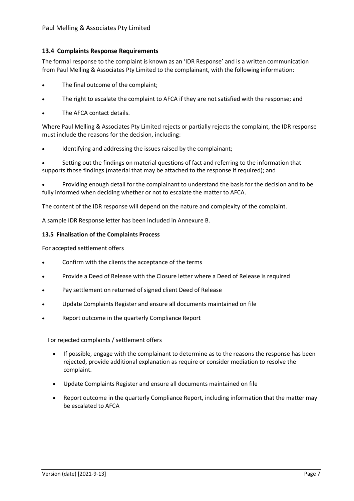#### **13.4 Complaints Response Requirements**

The formal response to the complaint is known as an 'IDR Response' and is a written communication from Paul Melling & Associates Pty Limited to the complainant, with the following information:

- The final outcome of the complaint;
- The right to escalate the complaint to AFCA if they are not satisfied with the response; and
- The AFCA contact details.

Where Paul Melling & Associates Pty Limited rejects or partially rejects the complaint, the IDR response must include the reasons for the decision, including:

Identifying and addressing the issues raised by the complainant;

Setting out the findings on material questions of fact and referring to the information that supports those findings (material that may be attached to the response if required); and

• Providing enough detail for the complainant to understand the basis for the decision and to be fully informed when deciding whether or not to escalate the matter to AFCA.

The content of the IDR response will depend on the nature and complexity of the complaint.

A sample IDR Response letter has been included in Annexure B.

#### **13.5 Finalisation of the Complaints Process**

For accepted settlement offers

- Confirm with the clients the acceptance of the terms
- Provide a Deed of Release with the Closure letter where a Deed of Release is required
- Pay settlement on returned of signed client Deed of Release
- Update Complaints Register and ensure all documents maintained on file
- Report outcome in the quarterly Compliance Report

For rejected complaints / settlement offers

- If possible, engage with the complainant to determine as to the reasons the response has been rejected, provide additional explanation as require or consider mediation to resolve the complaint.
- Update Complaints Register and ensure all documents maintained on file
- Report outcome in the quarterly Compliance Report, including information that the matter may be escalated to AFCA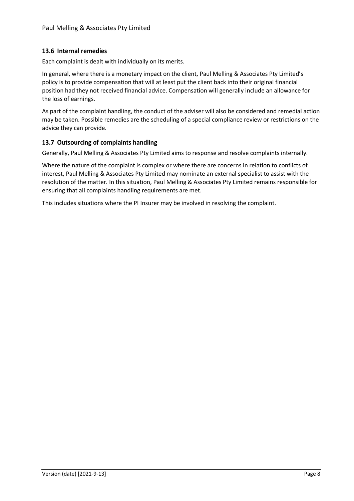#### **13.6 Internal remedies**

Each complaint is dealt with individually on its merits.

In general, where there is a monetary impact on the client, Paul Melling & Associates Pty Limited's policy is to provide compensation that will at least put the client back into their original financial position had they not received financial advice. Compensation will generally include an allowance for the loss of earnings.

As part of the complaint handling, the conduct of the adviser will also be considered and remedial action may be taken. Possible remedies are the scheduling of a special compliance review or restrictions on the advice they can provide.

#### **13.7 Outsourcing of complaints handling**

Generally, Paul Melling & Associates Pty Limited aims to response and resolve complaints internally.

Where the nature of the complaint is complex or where there are concerns in relation to conflicts of interest, Paul Melling & Associates Pty Limited may nominate an external specialist to assist with the resolution of the matter. In this situation, Paul Melling & Associates Pty Limited remains responsible for ensuring that all complaints handling requirements are met.

This includes situations where the PI Insurer may be involved in resolving the complaint.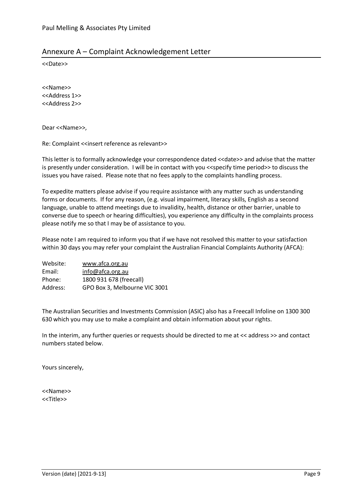## Annexure A – Complaint Acknowledgement Letter

<<Date>>

<<Name>> <<Address 1>> <<Address 2>>

Dear <<Name>>,

Re: Complaint <<insert reference as relevant>>

This letter is to formally acknowledge your correspondence dated <<date>> and advise that the matter is presently under consideration. I will be in contact with you <<specify time period>> to discuss the issues you have raised. Please note that no fees apply to the complaints handling process.

To expedite matters please advise if you require assistance with any matter such as understanding forms or documents. If for any reason, (e.g. visual impairment, literacy skills, English as a second language, unable to attend meetings due to invalidity, health, distance or other barrier, unable to converse due to speech or hearing difficulties), you experience any difficulty in the complaints process please notify me so that I may be of assistance to you.

Please note I am required to inform you that if we have not resolved this matter to your satisfaction within 30 days you may refer your complaint the Australian Financial Complaints Authority (AFCA):

| Website: | www.afca.org.au               |
|----------|-------------------------------|
| Email:   | info@afca.org.au              |
| Phone:   | 1800 931 678 (freecall)       |
| Address: | GPO Box 3, Melbourne VIC 3001 |

The Australian Securities and Investments Commission (ASIC) also has a Freecall Infoline on 1300 300 630 which you may use to make a complaint and obtain information about your rights.

In the interim, any further queries or requests should be directed to me at << address >> and contact numbers stated below.

Yours sincerely,

<<Name>> <<Title>>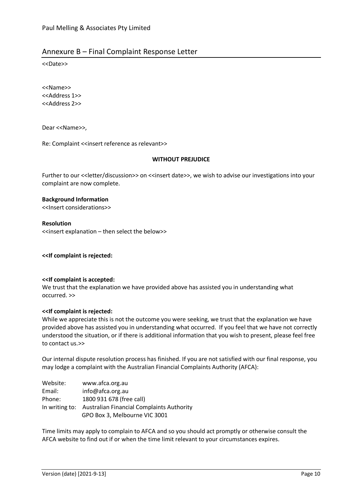## Annexure B – Final Complaint Response Letter

<<Date>>

<<Name>> <<Address 1>> <<Address 2>>

Dear <<Name>>,

Re: Complaint <<insert reference as relevant>>

#### **WITHOUT PREJUDICE**

Further to our << letter/discussion>> on << insert date>>, we wish to advise our investigations into your complaint are now complete.

#### **Background Information**

<<Insert considerations>>

**Resolution**  <<insert explanation – then select the below>>

**<<If complaint is rejected:**

#### **<<If complaint is accepted:**

We trust that the explanation we have provided above has assisted you in understanding what occurred. >>

#### **<<If complaint is rejected:**

While we appreciate this is not the outcome you were seeking, we trust that the explanation we have provided above has assisted you in understanding what occurred. If you feel that we have not correctly understood the situation, or if there is additional information that you wish to present, please feel free to contact us.>>

Our internal dispute resolution process has finished. If you are not satisfied with our final response, you may lodge a complaint with the Australian Financial Complaints Authority (AFCA):

| Website: | www.afca.org.au                                          |
|----------|----------------------------------------------------------|
| Email:   | info@afca.org.au                                         |
| Phone:   | 1800 931 678 (free call)                                 |
|          | In writing to: Australian Financial Complaints Authority |
|          | GPO Box 3, Melbourne VIC 3001                            |

Time limits may apply to complain to AFCA and so you should act promptly or otherwise consult the AFCA website to find out if or when the time limit relevant to your circumstances expires.